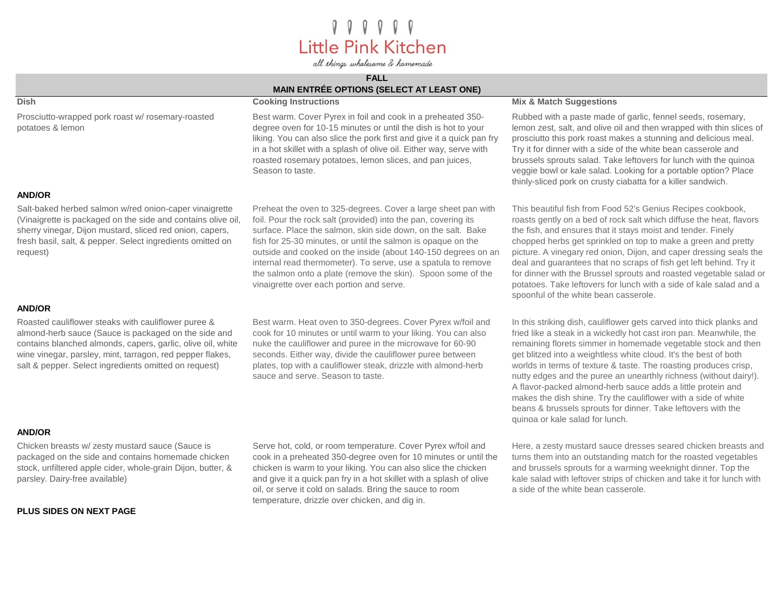# *I I I I I*<br>Little Pink Kitchen

all things wholesome & homemade

## **FALL**

| <b>MAIN ENTRÉE OPTIONS (SELECT AT LEAST ONE)</b>                                                                                                                                                                                                                                                 |                                                                                                                                                                                                                                                                                                                                                                                                                                                                                                               |                                                                                                                                                                                                                                                                                                                                                                                                                                                                                                                                                                                                                                                              |
|--------------------------------------------------------------------------------------------------------------------------------------------------------------------------------------------------------------------------------------------------------------------------------------------------|---------------------------------------------------------------------------------------------------------------------------------------------------------------------------------------------------------------------------------------------------------------------------------------------------------------------------------------------------------------------------------------------------------------------------------------------------------------------------------------------------------------|--------------------------------------------------------------------------------------------------------------------------------------------------------------------------------------------------------------------------------------------------------------------------------------------------------------------------------------------------------------------------------------------------------------------------------------------------------------------------------------------------------------------------------------------------------------------------------------------------------------------------------------------------------------|
| <b>Dish</b>                                                                                                                                                                                                                                                                                      | <b>Cooking Instructions</b>                                                                                                                                                                                                                                                                                                                                                                                                                                                                                   | <b>Mix &amp; Match Suggestions</b>                                                                                                                                                                                                                                                                                                                                                                                                                                                                                                                                                                                                                           |
| Prosciutto-wrapped pork roast w/ rosemary-roasted<br>potatoes & lemon                                                                                                                                                                                                                            | Best warm. Cover Pyrex in foil and cook in a preheated 350-<br>degree oven for 10-15 minutes or until the dish is hot to your<br>liking. You can also slice the pork first and give it a quick pan fry<br>in a hot skillet with a splash of olive oil. Either way, serve with<br>roasted rosemary potatoes, lemon slices, and pan juices,<br>Season to taste.                                                                                                                                                 | Rubbed with a paste made of garlic, fennel seeds, rosemary,<br>lemon zest, salt, and olive oil and then wrapped with thin slices of<br>prosciutto this pork roast makes a stunning and delicious meal.<br>Try it for dinner with a side of the white bean casserole and<br>brussels sprouts salad. Take leftovers for lunch with the quinoa<br>veggie bowl or kale salad. Looking for a portable option? Place<br>thinly-sliced pork on crusty ciabatta for a killer sandwich.                                                                                                                                                                               |
| <b>AND/OR</b>                                                                                                                                                                                                                                                                                    |                                                                                                                                                                                                                                                                                                                                                                                                                                                                                                               |                                                                                                                                                                                                                                                                                                                                                                                                                                                                                                                                                                                                                                                              |
| Salt-baked herbed salmon w/red onion-caper vinaigrette<br>(Vinaigrette is packaged on the side and contains olive oil,<br>sherry vinegar, Dijon mustard, sliced red onion, capers,<br>fresh basil, salt, & pepper. Select ingredients omitted on<br>request)                                     | Preheat the oven to 325-degrees. Cover a large sheet pan with<br>foil. Pour the rock salt (provided) into the pan, covering its<br>surface. Place the salmon, skin side down, on the salt. Bake<br>fish for 25-30 minutes, or until the salmon is opaque on the<br>outside and cooked on the inside (about 140-150 degrees on an<br>internal read thermometer). To serve, use a spatula to remove<br>the salmon onto a plate (remove the skin). Spoon some of the<br>vinaigrette over each portion and serve. | This beautiful fish from Food 52's Genius Recipes cookbook,<br>roasts gently on a bed of rock salt which diffuse the heat, flavors<br>the fish, and ensures that it stays moist and tender. Finely<br>chopped herbs get sprinkled on top to make a green and pretty<br>picture. A vinegary red onion, Dijon, and caper dressing seals the<br>deal and guarantees that no scraps of fish get left behind. Try it<br>for dinner with the Brussel sprouts and roasted vegetable salad or<br>potatoes. Take leftovers for lunch with a side of kale salad and a<br>spoonful of the white bean casserole.                                                         |
| <b>AND/OR</b>                                                                                                                                                                                                                                                                                    |                                                                                                                                                                                                                                                                                                                                                                                                                                                                                                               |                                                                                                                                                                                                                                                                                                                                                                                                                                                                                                                                                                                                                                                              |
| Roasted cauliflower steaks with cauliflower puree &<br>almond-herb sauce (Sauce is packaged on the side and<br>contains blanched almonds, capers, garlic, olive oil, white<br>wine vinegar, parsley, mint, tarragon, red pepper flakes,<br>salt & pepper. Select ingredients omitted on request) | Best warm. Heat oven to 350-degrees. Cover Pyrex w/foil and<br>cook for 10 minutes or until warm to your liking. You can also<br>nuke the cauliflower and puree in the microwave for 60-90<br>seconds. Either way, divide the cauliflower puree between<br>plates, top with a cauliflower steak, drizzle with almond-herb<br>sauce and serve. Season to taste.                                                                                                                                                | In this striking dish, cauliflower gets carved into thick planks and<br>fried like a steak in a wickedly hot cast iron pan. Meanwhile, the<br>remaining florets simmer in homemade vegetable stock and then<br>get blitzed into a weightless white cloud. It's the best of both<br>worlds in terms of texture & taste. The roasting produces crisp,<br>nutty edges and the puree an unearthly richness (without dairy!).<br>A flavor-packed almond-herb sauce adds a little protein and<br>makes the dish shine. Try the cauliflower with a side of white<br>beans & brussels sprouts for dinner. Take leftovers with the<br>quinoa or kale salad for lunch. |
| <b>AND/OR</b>                                                                                                                                                                                                                                                                                    |                                                                                                                                                                                                                                                                                                                                                                                                                                                                                                               |                                                                                                                                                                                                                                                                                                                                                                                                                                                                                                                                                                                                                                                              |
| Chicken breasts w/ zesty mustard sauce (Sauce is<br>packaged on the side and contains homemade chicken<br>stock, unfiltered apple cider, whole-grain Dijon, butter, &<br>parsley. Dairy-free available)                                                                                          | Serve hot, cold, or room temperature. Cover Pyrex w/foil and<br>cook in a preheated 350-degree oven for 10 minutes or until the<br>chicken is warm to your liking. You can also slice the chicken<br>and give it a quick pan fry in a hot skillet with a splash of olive<br>oil, or serve it cold on salads. Bring the sauce to room                                                                                                                                                                          | Here, a zesty mustard sauce dresses seared chicken breasts and<br>turns them into an outstanding match for the roasted vegetables<br>and brussels sprouts for a warming weeknight dinner. Top the<br>kale salad with leftover strips of chicken and take it for lunch with<br>a side of the white bean casserole.                                                                                                                                                                                                                                                                                                                                            |

## **PLUS SIDES ON NEXT PAGE**

temperature, drizzle over chicken, and dig in.